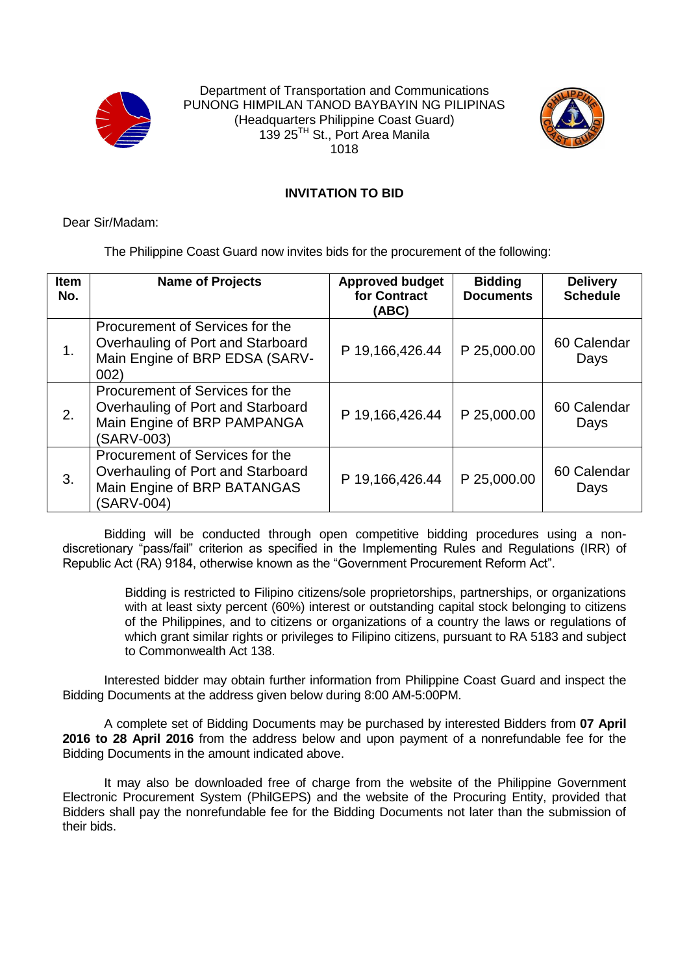



## **INVITATION TO BID**

Dear Sir/Madam:

The Philippine Coast Guard now invites bids for the procurement of the following:

| <b>Item</b><br>No. | <b>Name of Projects</b>                                                                                           | <b>Approved budget</b><br>for Contract<br>(ABC) | <b>Bidding</b><br><b>Documents</b> | <b>Delivery</b><br><b>Schedule</b> |
|--------------------|-------------------------------------------------------------------------------------------------------------------|-------------------------------------------------|------------------------------------|------------------------------------|
| 1.                 | Procurement of Services for the<br>Overhauling of Port and Starboard<br>Main Engine of BRP EDSA (SARV-<br>002)    | P 19,166,426.44                                 | P 25,000.00                        | 60 Calendar<br>Days                |
| 2.                 | Procurement of Services for the<br>Overhauling of Port and Starboard<br>Main Engine of BRP PAMPANGA<br>(SARV-003) | P 19,166,426.44                                 | P 25,000.00                        | 60 Calendar<br>Days                |
| 3.                 | Procurement of Services for the<br>Overhauling of Port and Starboard<br>Main Engine of BRP BATANGAS<br>(SARV-004) | P 19,166,426.44                                 | P 25,000.00                        | 60 Calendar<br>Days                |

Bidding will be conducted through open competitive bidding procedures using a nondiscretionary "pass/fail" criterion as specified in the Implementing Rules and Regulations (IRR) of Republic Act (RA) 9184, otherwise known as the "Government Procurement Reform Act".

> Bidding is restricted to Filipino citizens/sole proprietorships, partnerships, or organizations with at least sixty percent (60%) interest or outstanding capital stock belonging to citizens of the Philippines, and to citizens or organizations of a country the laws or regulations of which grant similar rights or privileges to Filipino citizens, pursuant to RA 5183 and subject to Commonwealth Act 138.

Interested bidder may obtain further information from Philippine Coast Guard and inspect the Bidding Documents at the address given below during 8:00 AM-5:00PM.

A complete set of Bidding Documents may be purchased by interested Bidders from **07 April 2016 to 28 April 2016** from the address below and upon payment of a nonrefundable fee for the Bidding Documents in the amount indicated above.

It may also be downloaded free of charge from the website of the Philippine Government Electronic Procurement System (PhilGEPS) and the website of the Procuring Entity, provided that Bidders shall pay the nonrefundable fee for the Bidding Documents not later than the submission of their bids.